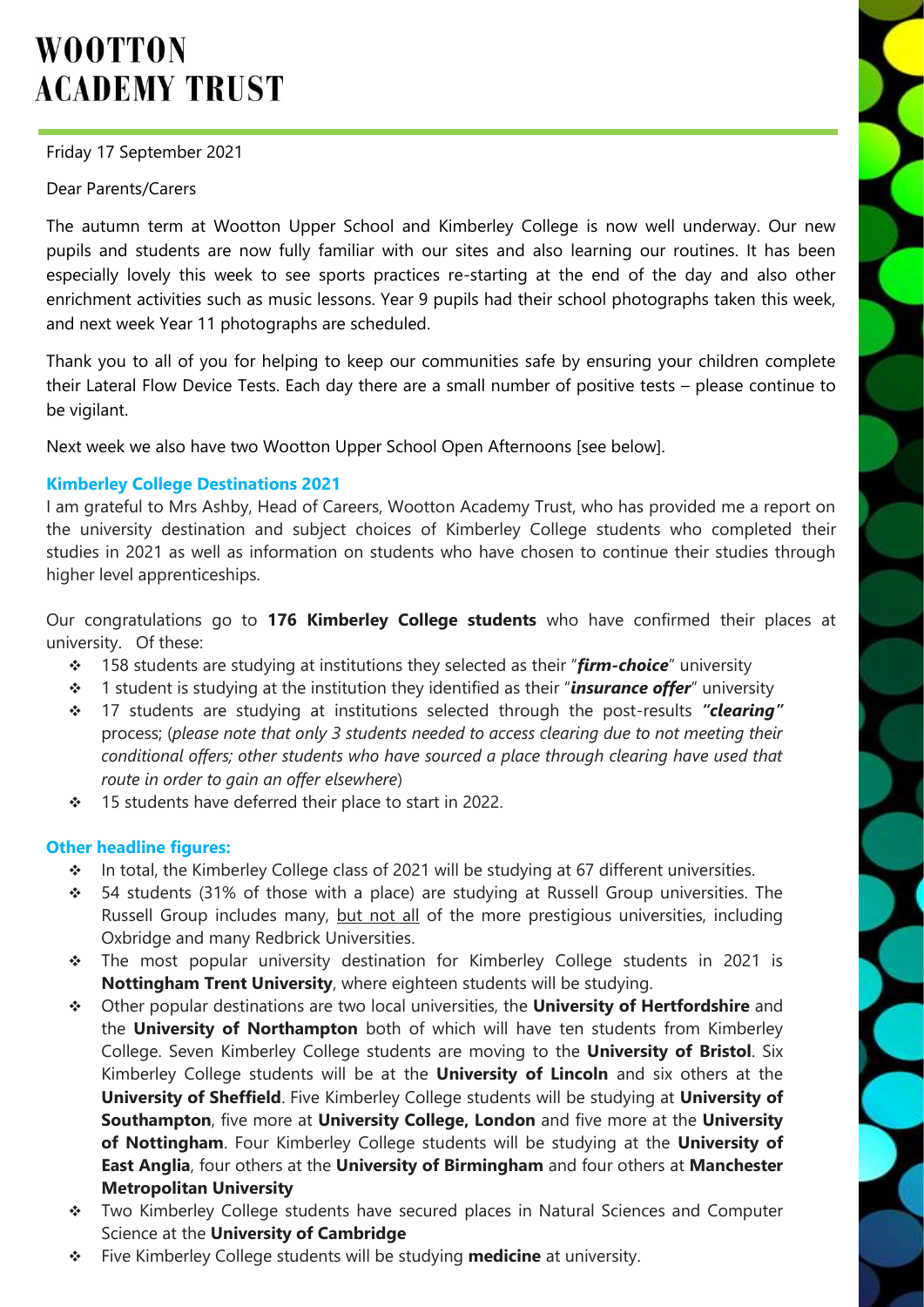# **WOOTTON ACADEMY TRUST**

## Friday 17 September 2021

## Dear Parents/Carers

The autumn term at Wootton Upper School and Kimberley College is now well underway. Our new pupils and students are now fully familiar with our sites and also learning our routines. It has been especially lovely this week to see sports practices re-starting at the end of the day and also other enrichment activities such as music lessons. Year 9 pupils had their school photographs taken this week, and next week Year 11 photographs are scheduled.

Thank you to all of you for helping to keep our communities safe by ensuring your children complete their Lateral Flow Device Tests. Each day there are a small number of positive tests – please continue to be vigilant.

Next week we also have two Wootton Upper School Open Afternoons [see below].

## **Kimberley College Destinations 2021**

I am grateful to Mrs Ashby, Head of Careers, Wootton Academy Trust, who has provided me a report on the university destination and subject choices of Kimberley College students who completed their studies in 2021 as well as information on students who have chosen to continue their studies through higher level apprenticeships.

Our congratulations go to **176 Kimberley College students** who have confirmed their places at university. Of these:

- 158 students are studying at institutions they selected as their "*firm-choice*" university
- 1 student is studying at the institution they identified as their "*insurance offer*" university
- 17 students are studying at institutions selected through the post-results *"clearing"* process; (*please note that only 3 students needed to access clearing due to not meeting their conditional offers; other students who have sourced a place through clearing have used that route in order to gain an offer elsewhere*)
- 15 students have deferred their place to start in 2022.

#### **Other headline figures:**

- In total, the Kimberley College class of 2021 will be studying at 67 different universities.
- \* 54 students (31% of those with a place) are studying at Russell Group universities. The Russell Group includes many, but not all of the more prestigious universities, including Oxbridge and many Redbrick Universities.
- \* The most popular university destination for Kimberley College students in 2021 is **Nottingham Trent University**, where eighteen students will be studying.
- Other popular destinations are two local universities, the **University of Hertfordshire** and the **University of Northampton** both of which will have ten students from Kimberley College. Seven Kimberley College students are moving to the **University of Bristol**. Six Kimberley College students will be at the **University of Lincoln** and six others at the **University of Sheffield**. Five Kimberley College students will be studying at **University of Southampton**, five more at **University College, London** and five more at the **University of Nottingham**. Four Kimberley College students will be studying at the **University of East Anglia**, four others at the **University of Birmingham** and four others at **Manchester Metropolitan University**
- Two Kimberley College students have secured places in Natural Sciences and Computer Science at the **University of Cambridge**
- Five Kimberley College students will be studying **medicine** at university.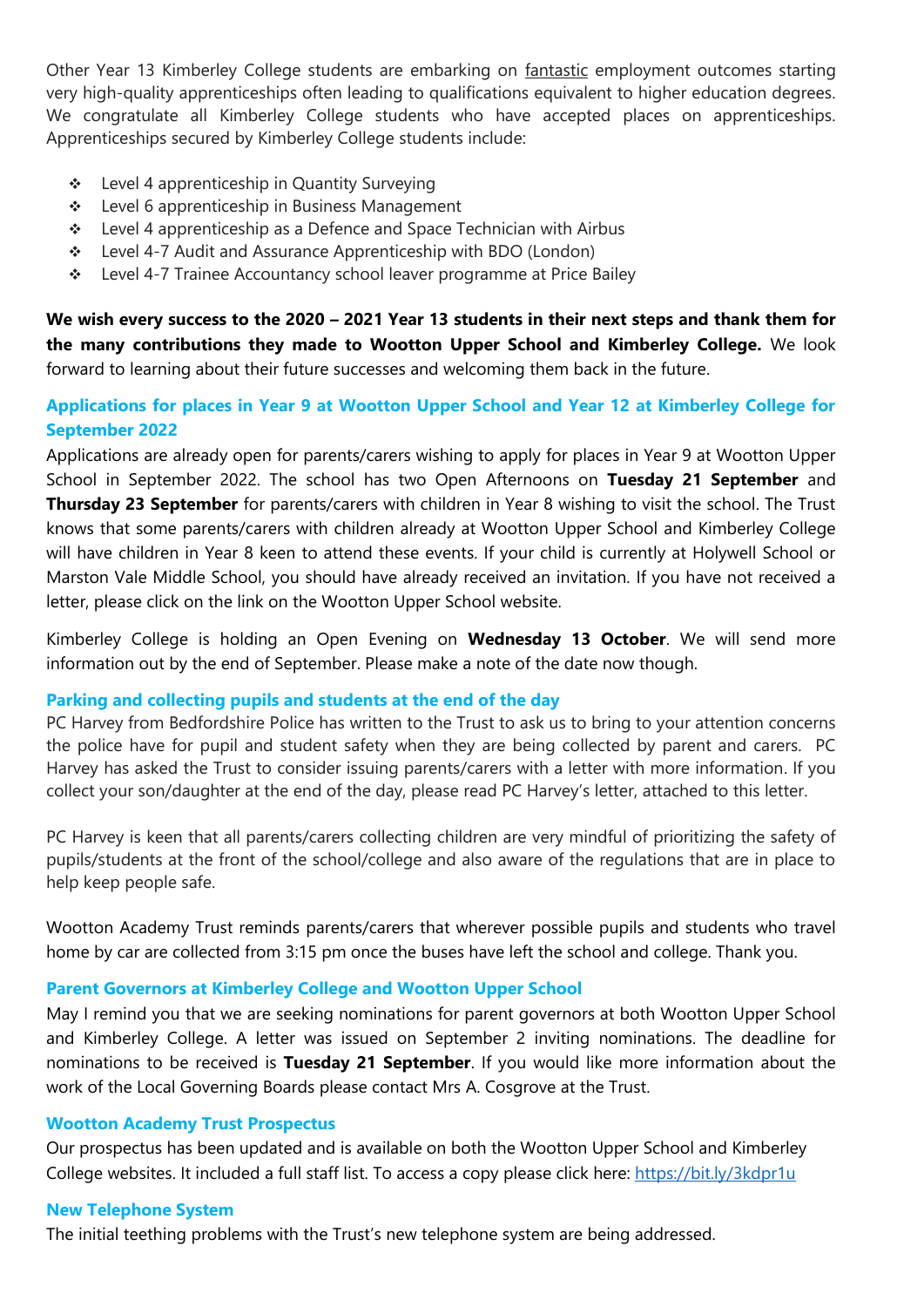Other Year 13 Kimberley College students are embarking on fantastic employment outcomes starting very high-quality apprenticeships often leading to qualifications equivalent to higher education degrees. We congratulate all Kimberley College students who have accepted places on apprenticeships. Apprenticeships secured by Kimberley College students include:

- ❖ Level 4 apprenticeship in Quantity Surveying
- ❖ Level 6 apprenticeship in Business Management
- \* Level 4 apprenticeship as a Defence and Space Technician with Airbus
- Level 4-7 Audit and Assurance Apprenticeship with BDO (London)
- \* Level 4-7 Trainee Accountancy school leaver programme at Price Bailey

**We wish every success to the 2020 – 2021 Year 13 students in their next steps and thank them for the many contributions they made to Wootton Upper School and Kimberley College.** We look forward to learning about their future successes and welcoming them back in the future.

## **Applications for places in Year 9 at Wootton Upper School and Year 12 at Kimberley College for September 2022**

Applications are already open for parents/carers wishing to apply for places in Year 9 at Wootton Upper School in September 2022. The school has two Open Afternoons on **Tuesday 21 September** and **Thursday 23 September** for parents/carers with children in Year 8 wishing to visit the school. The Trust knows that some parents/carers with children already at Wootton Upper School and Kimberley College will have children in Year 8 keen to attend these events. If your child is currently at Holywell School or Marston Vale Middle School, you should have already received an invitation. If you have not received a letter, please click on the link on the Wootton Upper School website.

Kimberley College is holding an Open Evening on **Wednesday 13 October**. We will send more information out by the end of September. Please make a note of the date now though.

#### **Parking and collecting pupils and students at the end of the day**

PC Harvey from Bedfordshire Police has written to the Trust to ask us to bring to your attention concerns the police have for pupil and student safety when they are being collected by parent and carers. PC Harvey has asked the Trust to consider issuing parents/carers with a letter with more information. If you collect your son/daughter at the end of the day, please read PC Harvey's letter, attached to this letter.

PC Harvey is keen that all parents/carers collecting children are very mindful of prioritizing the safety of pupils/students at the front of the school/college and also aware of the regulations that are in place to help keep people safe.

Wootton Academy Trust reminds parents/carers that wherever possible pupils and students who travel home by car are collected from 3:15 pm once the buses have left the school and college. Thank you.

#### **Parent Governors at Kimberley College and Wootton Upper School**

May I remind you that we are seeking nominations for parent governors at both Wootton Upper School and Kimberley College. A letter was issued on September 2 inviting nominations. The deadline for nominations to be received is **Tuesday 21 September**. If you would like more information about the work of the Local Governing Boards please contact Mrs A. Cosgrove at the Trust.

#### **Wootton Academy Trust Prospectus**

Our prospectus has been updated and is available on both the Wootton Upper School and Kimberley College websites. It included a full staff list. To access a copy please click here: <https://bit.ly/3kdpr1u>

#### **New Telephone System**

The initial teething problems with the Trust's new telephone system are being addressed.